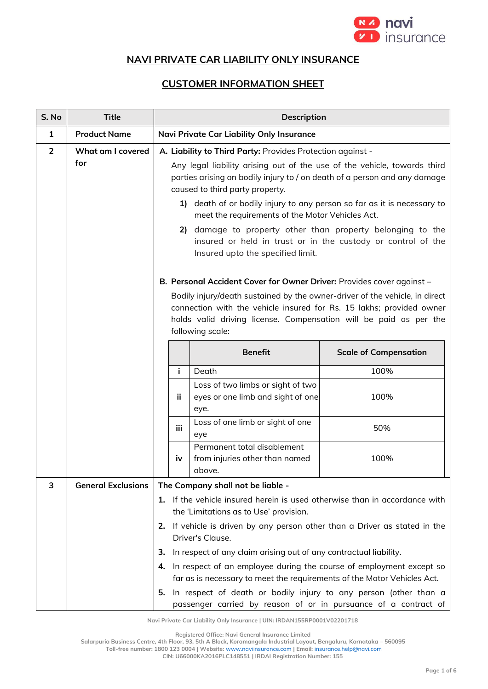

## **NAVI PRIVATE CAR LIABILITY ONLY INSURANCE**

## **CUSTOMER INFORMATION SHEET**

| S. No          | <b>Title</b>              | <b>Description</b>                                         |                                                                                                                                                                                                                                              |                              |
|----------------|---------------------------|------------------------------------------------------------|----------------------------------------------------------------------------------------------------------------------------------------------------------------------------------------------------------------------------------------------|------------------------------|
| $\mathbf{1}$   | <b>Product Name</b>       | <b>Navi Private Car Liability Only Insurance</b>           |                                                                                                                                                                                                                                              |                              |
| $\overline{2}$ | What am I covered         | A. Liability to Third Party: Provides Protection against - |                                                                                                                                                                                                                                              |                              |
|                | for                       |                                                            | Any legal liability arising out of the use of the vehicle, towards third<br>parties arising on bodily injury to / on death of a person and any damage<br>caused to third party property.                                                     |                              |
|                |                           |                                                            | 1) death of or bodily injury to any person so far as it is necessary to<br>meet the requirements of the Motor Vehicles Act.                                                                                                                  |                              |
|                |                           |                                                            | 2) damage to property other than property belonging to the<br>insured or held in trust or in the custody or control of the<br>Insured upto the specified limit.                                                                              |                              |
|                |                           |                                                            | B. Personal Accident Cover for Owner Driver: Provides cover against -                                                                                                                                                                        |                              |
|                |                           |                                                            | Bodily injury/death sustained by the owner-driver of the vehicle, in direct<br>connection with the vehicle insured for Rs. 15 lakhs; provided owner<br>holds valid driving license. Compensation will be paid as per the<br>following scale: |                              |
|                |                           |                                                            | <b>Benefit</b>                                                                                                                                                                                                                               | <b>Scale of Compensation</b> |
|                |                           | i.                                                         | Death                                                                                                                                                                                                                                        | 100%                         |
|                |                           | ji.                                                        | Loss of two limbs or sight of two<br>eyes or one limb and sight of one<br>eye.                                                                                                                                                               | 100%                         |
|                |                           | iii.                                                       | Loss of one limb or sight of one<br>eye                                                                                                                                                                                                      | 50%                          |
|                |                           | iν                                                         | Permanent total disablement<br>from injuries other than named<br>above.                                                                                                                                                                      | 100%                         |
| 3              | <b>General Exclusions</b> | The Company shall not be liable -                          |                                                                                                                                                                                                                                              |                              |
|                |                           |                                                            | 1. If the vehicle insured herein is used otherwise than in accordance with<br>the 'Limitations as to Use' provision.                                                                                                                         |                              |
|                |                           | 2.                                                         | If vehicle is driven by any person other than a Driver as stated in the<br>Driver's Clause.                                                                                                                                                  |                              |
|                |                           | з.                                                         | In respect of any claim arising out of any contractual liability.                                                                                                                                                                            |                              |
|                |                           | 4.                                                         | In respect of an employee during the course of employment except so<br>far as is necessary to meet the requirements of the Motor Vehicles Act.                                                                                               |                              |
|                |                           | 5.                                                         | In respect of death or bodily injury to any person (other than a<br>passenger carried by reason of or in pursuance of a contract of                                                                                                          |                              |

**Navi Private Car Liability Only Insurance | UIN: IRDAN155RP0001V02201718**

**Registered Office: Navi General Insurance Limited**

**Salarpuria Business Centre, 4th Floor, 93, 5th A Block, Koramangala Industrial Layout, Bengaluru, Karnataka – 560095**

**Toll-free number: 1800 123 0004 | Website:** [www.naviinsurance.com](http://www.naviinsurance.com/) **| Email:** [insurance.help@navi.com](mailto:insurance.help@navi.com) **CIN: U66000KA2016PLC148551 | IRDAI Registration Number: 155**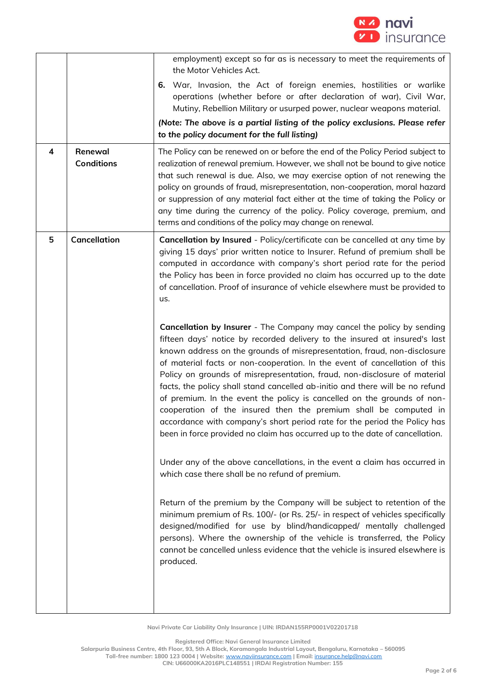

| 4 | Renewal<br><b>Conditions</b> | employment) except so far as is necessary to meet the requirements of<br>the Motor Vehicles Act.<br>War, Invasion, the Act of foreign enemies, hostilities or warlike<br>6.<br>operations (whether before or after declaration of war), Civil War,<br>Mutiny, Rebellion Military or usurped power, nuclear weapons material.<br>(Note: The above is a partial listing of the policy exclusions. Please refer<br>to the policy document for the full listing)<br>The Policy can be renewed on or before the end of the Policy Period subject to<br>realization of renewal premium. However, we shall not be bound to give notice<br>that such renewal is due. Also, we may exercise option of not renewing the<br>policy on grounds of fraud, misrepresentation, non-cooperation, moral hazard<br>or suppression of any material fact either at the time of taking the Policy or<br>any time during the currency of the policy. Policy coverage, premium, and<br>terms and conditions of the policy may change on renewal.                                                                                                                                                                                                                                                                                                                                                                                                                                                                                                                                                                                                                                                                                                                           |
|---|------------------------------|-----------------------------------------------------------------------------------------------------------------------------------------------------------------------------------------------------------------------------------------------------------------------------------------------------------------------------------------------------------------------------------------------------------------------------------------------------------------------------------------------------------------------------------------------------------------------------------------------------------------------------------------------------------------------------------------------------------------------------------------------------------------------------------------------------------------------------------------------------------------------------------------------------------------------------------------------------------------------------------------------------------------------------------------------------------------------------------------------------------------------------------------------------------------------------------------------------------------------------------------------------------------------------------------------------------------------------------------------------------------------------------------------------------------------------------------------------------------------------------------------------------------------------------------------------------------------------------------------------------------------------------------------------------------------------------------------------------------------------------------------------|
| 5 | Cancellation                 | Cancellation by Insured - Policy/certificate can be cancelled at any time by<br>giving 15 days' prior written notice to Insurer. Refund of premium shall be<br>computed in accordance with company's short period rate for the period<br>the Policy has been in force provided no claim has occurred up to the date<br>of cancellation. Proof of insurance of vehicle elsewhere must be provided to<br>us.<br>Cancellation by Insurer - The Company may cancel the policy by sending<br>fifteen days' notice by recorded delivery to the insured at insured's last<br>known address on the grounds of misrepresentation, fraud, non-disclosure<br>of material facts or non-cooperation. In the event of cancellation of this<br>Policy on grounds of misrepresentation, fraud, non-disclosure of material<br>facts, the policy shall stand cancelled ab-initio and there will be no refund<br>of premium. In the event the policy is cancelled on the grounds of non-<br>cooperation of the insured then the premium shall be computed in<br>accordance with company's short period rate for the period the Policy has<br>been in force provided no claim has occurred up to the date of cancellation.<br>Under any of the above cancellations, in the event a claim has occurred in<br>which case there shall be no refund of premium.<br>Return of the premium by the Company will be subject to retention of the<br>minimum premium of Rs. 100/- (or Rs. 25/- in respect of vehicles specifically<br>designed/modified for use by blind/handicapped/ mentally challenged<br>persons). Where the ownership of the vehicle is transferred, the Policy<br>cannot be cancelled unless evidence that the vehicle is insured elsewhere is<br>produced. |

**Registered Office: Navi General Insurance Limited**

**Salarpuria Business Centre, 4th Floor, 93, 5th A Block, Koramangala Industrial Layout, Bengaluru, Karnataka – 560095**

**Toll-free number: 1800 123 0004 | Website:** [www.naviinsurance.com](http://www.naviinsurance.com/) **| Email:** [insurance.help@navi.com](mailto:insurance.help@navi.com)

**CIN: U66000KA2016PLC148551 | IRDAI Registration Number: 155**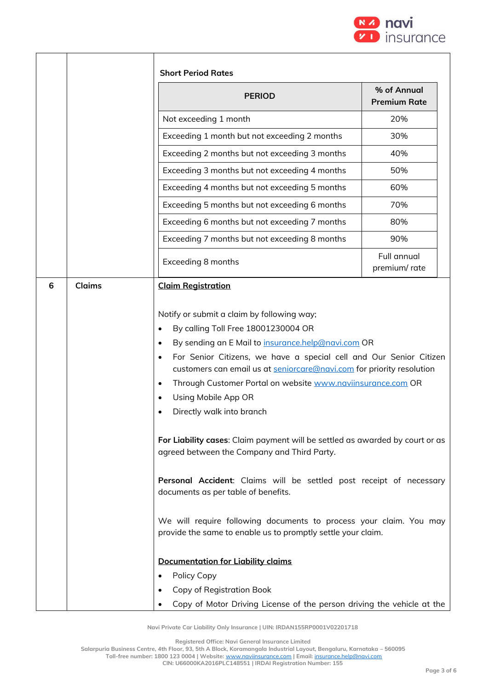

| <b>PERIOD</b>                                                                                                                                                                                                                                                                                                                                                                                                                                                                                                                                                                                                                                                                                                                                                                                                                        | % of Annual<br><b>Premium Rate</b> |  |
|--------------------------------------------------------------------------------------------------------------------------------------------------------------------------------------------------------------------------------------------------------------------------------------------------------------------------------------------------------------------------------------------------------------------------------------------------------------------------------------------------------------------------------------------------------------------------------------------------------------------------------------------------------------------------------------------------------------------------------------------------------------------------------------------------------------------------------------|------------------------------------|--|
| Not exceeding 1 month                                                                                                                                                                                                                                                                                                                                                                                                                                                                                                                                                                                                                                                                                                                                                                                                                | 20%                                |  |
| Exceeding 1 month but not exceeding 2 months                                                                                                                                                                                                                                                                                                                                                                                                                                                                                                                                                                                                                                                                                                                                                                                         | 30%                                |  |
| Exceeding 2 months but not exceeding 3 months                                                                                                                                                                                                                                                                                                                                                                                                                                                                                                                                                                                                                                                                                                                                                                                        | 40%                                |  |
| Exceeding 3 months but not exceeding 4 months                                                                                                                                                                                                                                                                                                                                                                                                                                                                                                                                                                                                                                                                                                                                                                                        | 50%                                |  |
| Exceeding 4 months but not exceeding 5 months                                                                                                                                                                                                                                                                                                                                                                                                                                                                                                                                                                                                                                                                                                                                                                                        | 60%                                |  |
| Exceeding 5 months but not exceeding 6 months                                                                                                                                                                                                                                                                                                                                                                                                                                                                                                                                                                                                                                                                                                                                                                                        | 70%                                |  |
| Exceeding 6 months but not exceeding 7 months                                                                                                                                                                                                                                                                                                                                                                                                                                                                                                                                                                                                                                                                                                                                                                                        | 80%                                |  |
| Exceeding 7 months but not exceeding 8 months                                                                                                                                                                                                                                                                                                                                                                                                                                                                                                                                                                                                                                                                                                                                                                                        | 90%                                |  |
| Exceeding 8 months                                                                                                                                                                                                                                                                                                                                                                                                                                                                                                                                                                                                                                                                                                                                                                                                                   | <b>Full annual</b><br>premium/rate |  |
| By sending an E Mail to insurance.help@navi.com OR<br>$\bullet$<br>For Senior Citizens, we have a special cell and Our Senior Citizen<br>$\bullet$<br>customers can email us at seniorcare@navi.com for priority resolution<br>Through Customer Portal on website www.naviinsurance.com OR<br>$\bullet$<br>Using Mobile App OR<br>$\bullet$<br>Directly walk into branch<br>For Liability cases: Claim payment will be settled as awarded by court or as<br>agreed between the Company and Third Party.<br>Personal Accident: Claims will be settled post receipt of necessary<br>documents as per table of benefits.<br>We will require following documents to process your claim. You may<br>provide the same to enable us to promptly settle your claim.<br><b>Documentation for Liability claims</b><br>Policy Copy<br>$\bullet$ |                                    |  |

**Registered Office: Navi General Insurance Limited**

**Salarpuria Business Centre, 4th Floor, 93, 5th A Block, Koramangala Industrial Layout, Bengaluru, Karnataka – 560095**

**Toll-free number: 1800 123 0004 | Website:** [www.naviinsurance.com](http://www.naviinsurance.com/) **| Email:** [insurance.help@navi.com](mailto:insurance.help@navi.com)

**CIN: U66000KA2016PLC148551 | IRDAI Registration Number: 155**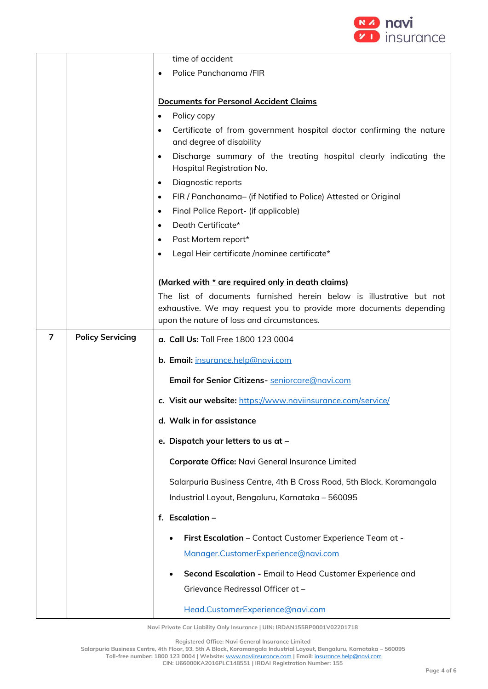

|   |                         | time of accident                                                                                            |  |
|---|-------------------------|-------------------------------------------------------------------------------------------------------------|--|
|   |                         | Police Panchanama /FIR<br>$\bullet$                                                                         |  |
|   |                         |                                                                                                             |  |
|   |                         | <b>Documents for Personal Accident Claims</b>                                                               |  |
|   |                         | Policy copy<br>$\bullet$                                                                                    |  |
|   |                         | Certificate of from government hospital doctor confirming the nature<br>and degree of disability            |  |
|   |                         | Discharge summary of the treating hospital clearly indicating the<br>$\bullet$<br>Hospital Registration No. |  |
|   |                         | Diagnostic reports<br>$\bullet$                                                                             |  |
|   |                         | FIR / Panchanama- (if Notified to Police) Attested or Original<br>$\bullet$                                 |  |
|   |                         | Final Police Report- (if applicable)<br>$\bullet$                                                           |  |
|   |                         | Death Certificate*<br>$\bullet$                                                                             |  |
|   |                         | Post Mortem report*<br>$\bullet$                                                                            |  |
|   |                         | Legal Heir certificate /nominee certificate*                                                                |  |
|   |                         |                                                                                                             |  |
|   |                         | (Marked with * are required only in death claims)                                                           |  |
|   |                         | The list of documents furnished herein below is illustrative but not                                        |  |
|   |                         | exhaustive. We may request you to provide more documents depending                                          |  |
|   |                         | upon the nature of loss and circumstances.                                                                  |  |
| 7 | <b>Policy Servicing</b> | a. Call Us: Toll Free 1800 123 0004                                                                         |  |
|   |                         | b. Email: insurance.help@navi.com                                                                           |  |
|   |                         | Email for Senior Citizens- seniorcare@navi.com                                                              |  |
|   |                         | c. Visit our website: https://www.naviinsurance.com/service/                                                |  |
|   |                         | d. Walk in for assistance                                                                                   |  |
|   |                         | e. Dispatch your letters to us at -                                                                         |  |
|   |                         | Corporate Office: Navi General Insurance Limited                                                            |  |
|   |                         | Salarpuria Business Centre, 4th B Cross Road, 5th Block, Koramangala                                        |  |
|   |                         | Industrial Layout, Bengaluru, Karnataka - 560095                                                            |  |
|   |                         | f. Escalation -                                                                                             |  |
|   |                         | First Escalation - Contact Customer Experience Team at -                                                    |  |
|   |                         | Manager.CustomerExperience@navi.com                                                                         |  |
|   |                         | Second Escalation - Email to Head Customer Experience and                                                   |  |
|   |                         | Grievance Redressal Officer at -                                                                            |  |
|   |                         | Head.CustomerExperience@navi.com                                                                            |  |

**Registered Office: Navi General Insurance Limited**

**Salarpuria Business Centre, 4th Floor, 93, 5th A Block, Koramangala Industrial Layout, Bengaluru, Karnataka – 560095 Toll-free number: 1800 123 0004 | Website:** [www.naviinsurance.com](http://www.naviinsurance.com/) **| Email:** [insurance.help@navi.com](mailto:insurance.help@navi.com) **CIN: U66000KA2016PLC148551 | IRDAI Registration Number: 155**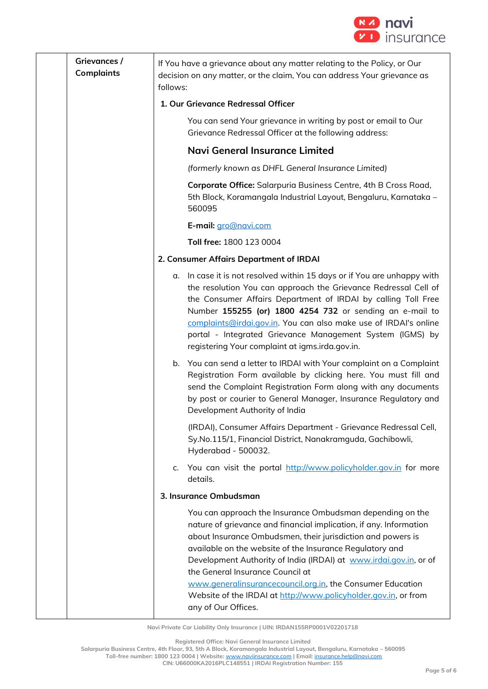

| Grievances /<br><b>Complaints</b> | follows: | If You have a grievance about any matter relating to the Policy, or Our<br>decision on any matter, or the claim, You can address Your grievance as                                                                                                                                                                                                                                                                                                                                                                          |
|-----------------------------------|----------|-----------------------------------------------------------------------------------------------------------------------------------------------------------------------------------------------------------------------------------------------------------------------------------------------------------------------------------------------------------------------------------------------------------------------------------------------------------------------------------------------------------------------------|
|                                   |          | 1. Our Grievance Redressal Officer                                                                                                                                                                                                                                                                                                                                                                                                                                                                                          |
|                                   |          | You can send Your grievance in writing by post or email to Our<br>Grievance Redressal Officer at the following address:                                                                                                                                                                                                                                                                                                                                                                                                     |
|                                   |          | Navi General Insurance Limited                                                                                                                                                                                                                                                                                                                                                                                                                                                                                              |
|                                   |          | (formerly known as DHFL General Insurance Limited)                                                                                                                                                                                                                                                                                                                                                                                                                                                                          |
|                                   |          | Corporate Office: Salarpuria Business Centre, 4th B Cross Road,<br>5th Block, Koramangala Industrial Layout, Bengaluru, Karnataka -<br>560095                                                                                                                                                                                                                                                                                                                                                                               |
|                                   |          | E-mail: gro@navi.com                                                                                                                                                                                                                                                                                                                                                                                                                                                                                                        |
|                                   |          | Toll free: 1800 123 0004                                                                                                                                                                                                                                                                                                                                                                                                                                                                                                    |
|                                   |          | 2. Consumer Affairs Department of IRDAI                                                                                                                                                                                                                                                                                                                                                                                                                                                                                     |
|                                   | α.       | In case it is not resolved within 15 days or if You are unhappy with<br>the resolution You can approach the Grievance Redressal Cell of<br>the Consumer Affairs Department of IRDAI by calling Toll Free<br>Number 155255 (or) 1800 4254 732 or sending an e-mail to<br>complaints@irdai.gov.in. You can also make use of IRDAI's online<br>portal - Integrated Grievance Management System (IGMS) by<br>registering Your complaint at igms.irda.gov.in.                                                                    |
|                                   |          | b. You can send a letter to IRDAI with Your complaint on a Complaint<br>Registration Form available by clicking here. You must fill and<br>send the Complaint Registration Form along with any documents<br>by post or courier to General Manager, Insurance Regulatory and<br>Development Authority of India                                                                                                                                                                                                               |
|                                   |          | (IRDAI), Consumer Affairs Department - Grievance Redressal Cell,<br>Sy.No.115/1, Financial District, Nanakramguda, Gachibowli,<br>Hyderabad - 500032.                                                                                                                                                                                                                                                                                                                                                                       |
|                                   | $C_{1}$  | You can visit the portal http://www.policyholder.gov.in for more<br>details.                                                                                                                                                                                                                                                                                                                                                                                                                                                |
|                                   |          | 3. Insurance Ombudsman                                                                                                                                                                                                                                                                                                                                                                                                                                                                                                      |
|                                   |          | You can approach the Insurance Ombudsman depending on the<br>nature of grievance and financial implication, if any. Information<br>about Insurance Ombudsmen, their jurisdiction and powers is<br>available on the website of the Insurance Regulatory and<br>Development Authority of India (IRDAI) at www.irdai.gov.in, or of<br>the General Insurance Council at<br>www.generalinsurancecouncil.org.in, the Consumer Education<br>Website of the IRDAI at http://www.policyholder.gov.in, or from<br>any of Our Offices. |

**Registered Office: Navi General Insurance Limited**

**Salarpuria Business Centre, 4th Floor, 93, 5th A Block, Koramangala Industrial Layout, Bengaluru, Karnataka – 560095**

**Toll-free number: 1800 123 0004 | Website:** [www.naviinsurance.com](http://www.naviinsurance.com/) **| Email:** [insurance.help@navi.com](mailto:insurance.help@navi.com) **CIN: U66000KA2016PLC148551 | IRDAI Registration Number: 155**